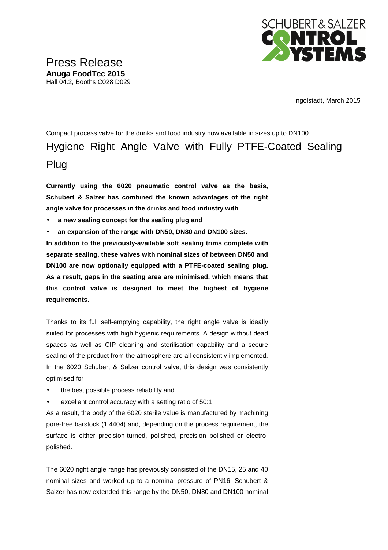

Ingolstadt, March 2015

Compact process valve for the drinks and food industry now available in sizes up to DN100 Hygiene Right Angle Valve with Fully PTFE-Coated Sealing Plug

**Currently using the 6020 pneumatic control valve as the basis, Schubert & Salzer has combined the known advantages of the right angle valve for processes in the drinks and food industry with** 

- **a new sealing concept for the sealing plug and**
- **an expansion of the range with DN50, DN80 and DN100 sizes.**

**In addition to the previously-available soft sealing trims complete with separate sealing, these valves with nominal sizes of between DN50 and DN100 are now optionally equipped with a PTFE-coated sealing plug. As a result, gaps in the seating area are minimised, which means that this control valve is designed to meet the highest of hygiene requirements.** 

Thanks to its full self-emptying capability, the right angle valve is ideally suited for processes with high hygienic requirements. A design without dead spaces as well as CIP cleaning and sterilisation capability and a secure sealing of the product from the atmosphere are all consistently implemented. In the 6020 Schubert & Salzer control valve, this design was consistently optimised for

- the best possible process reliability and
- excellent control accuracy with a setting ratio of 50:1.

As a result, the body of the 6020 sterile value is manufactured by machining pore-free barstock (1.4404) and, depending on the process requirement, the surface is either precision-turned, polished, precision polished or electropolished.

The 6020 right angle range has previously consisted of the DN15, 25 and 40 nominal sizes and worked up to a nominal pressure of PN16. Schubert & Salzer has now extended this range by the DN50, DN80 and DN100 nominal